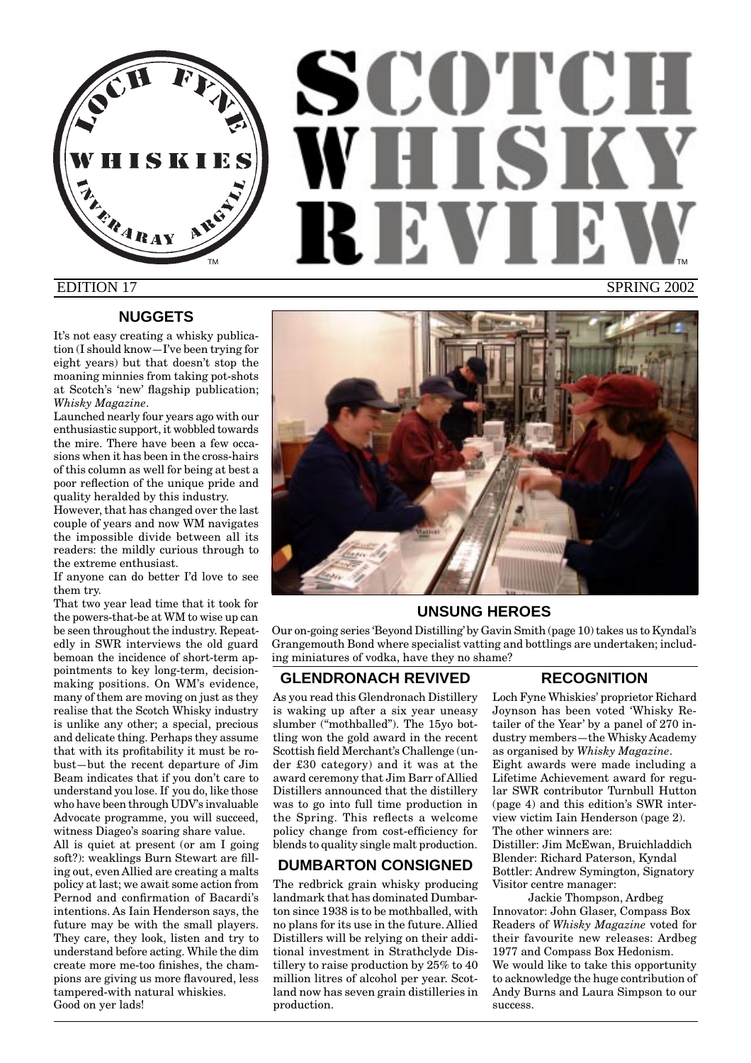HISKIES **FRARAY** 

# SCOTCH WHISKY **RIEV** TM **THE REPORT OF STATE OF STATE OF THE REPORT OF THE REPORT OF THE REPORT OF THE REPORT OF THE REPORT OF THE** EDITION 17 SPRING 2002

# **NUGGETS**

It's not easy creating a whisky publication (I should know—I've been trying for eight years) but that doesn't stop the moaning minnies from taking pot-shots at Scotch's 'new' flagship publication; *Whisky Magazine*.

Launched nearly four years ago with our enthusiastic support, it wobbled towards the mire. There have been a few occasions when it has been in the cross-hairs of this column as well for being at best a poor reflection of the unique pride and quality heralded by this industry.

However, that has changed over the last couple of years and now WM navigates the impossible divide between all its readers: the mildly curious through to the extreme enthusiast.

If anyone can do better I'd love to see them try.

That two year lead time that it took for the powers-that-be at WM to wise up can be seen throughout the industry. Repeatedly in SWR interviews the old guard bemoan the incidence of short-term appointments to key long-term, decisionmaking positions. On WM's evidence, many of them are moving on just as they realise that the Scotch Whisky industry is unlike any other; a special, precious and delicate thing. Perhaps they assume that with its profitability it must be robust—but the recent departure of Jim Beam indicates that if you don't care to understand you lose. If you do, like those who have been through UDV's invaluable Advocate programme, you will succeed, witness Diageo's soaring share value.

All is quiet at present (or am I going soft?): weaklings Burn Stewart are filling out, even Allied are creating a malts policy at last; we await some action from Pernod and confirmation of Bacardi's intentions. As Iain Henderson says, the future may be with the small players. They care, they look, listen and try to understand before acting. While the dim create more me-too finishes, the champions are giving us more flavoured, less tampered-with natural whiskies. Good on yer lads!



# **UNSUNG HEROES**

Our on-going series 'Beyond Distilling' by Gavin Smith (page 10) takes us to Kyndal's Grangemouth Bond where specialist vatting and bottlings are undertaken; including miniatures of vodka, have they no shame?

# **GLENDRONACH REVIVED**

As you read this Glendronach Distillery is waking up after a six year uneasy slumber ("mothballed"). The 15yo bottling won the gold award in the recent Scottish field Merchant's Challenge (under £30 category) and it was at the award ceremony that Jim Barr of Allied Distillers announced that the distillery was to go into full time production in the Spring. This reflects a welcome policy change from cost-efficiency for blends to quality single malt production.

# **DUMBARTON CONSIGNED**

The redbrick grain whisky producing landmark that has dominated Dumbarton since 1938 is to be mothballed, with no plans for its use in the future. Allied Distillers will be relying on their additional investment in Strathclyde Distillery to raise production by 25% to 40 million litres of alcohol per year. Scotland now has seven grain distilleries in production.

# **RECOGNITION**

Loch Fyne Whiskies' proprietor Richard Joynson has been voted 'Whisky Retailer of the Year' by a panel of 270 industry members—the Whisky Academy as organised by *Whisky Magazine*. Eight awards were made including a Lifetime Achievement award for regular SWR contributor Turnbull Hutton (page 4) and this edition's SWR interview victim Iain Henderson (page 2). The other winners are: Distiller: Jim McEwan, Bruichladdich Blender: Richard Paterson, Kyndal Bottler: Andrew Symington, Signatory

Visitor centre manager:

Jackie Thompson, Ardbeg Innovator: John Glaser, Compass Box Readers of *Whisky Magazine* voted for their favourite new releases: Ardbeg 1977 and Compass Box Hedonism. We would like to take this opportunity to acknowledge the huge contribution of Andy Burns and Laura Simpson to our success.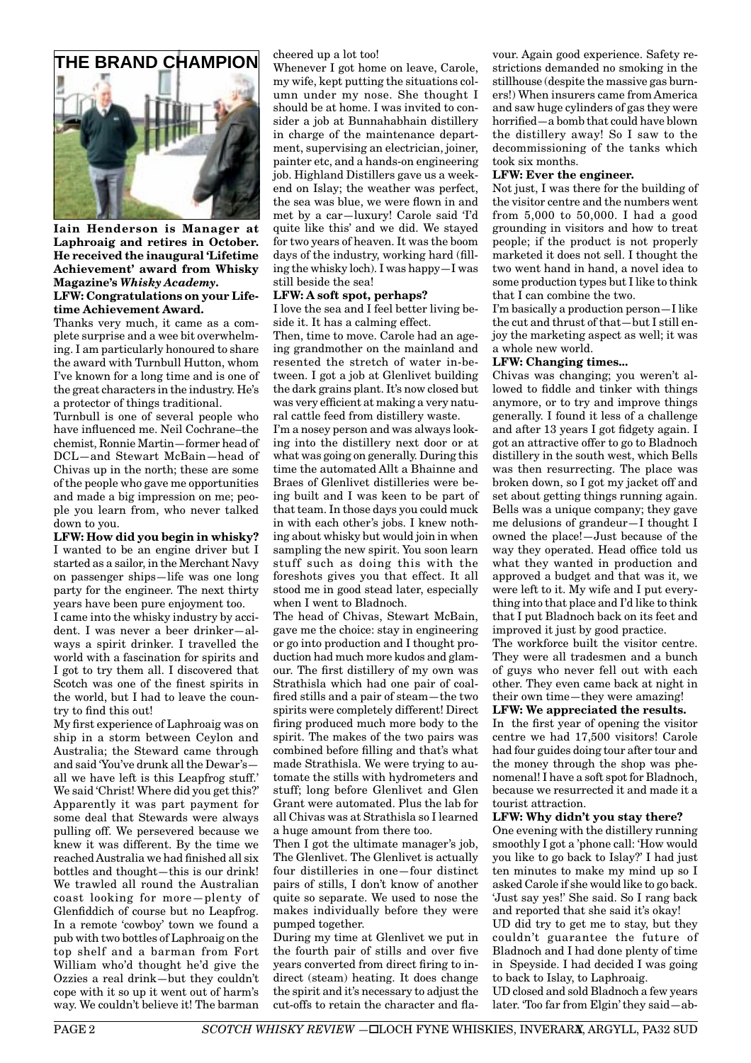

**Iain Henderson is Manager at Laphroaig and retires in October. He received the inaugural 'Lifetime Achievement' award from Whisky Magazine's** *Whisky Academy***. LFW: Congratulations on your Lifetime Achievement Award.**

Thanks very much, it came as a complete surprise and a wee bit overwhelming. I am particularly honoured to share the award with Turnbull Hutton, whom I've known for a long time and is one of the great characters in the industry. He's a protector of things traditional.

Turnbull is one of several people who have influenced me. Neil Cochrane–the chemist, Ronnie Martin—former head of DCL—and Stewart McBain—head of Chivas up in the north; these are some of the people who gave me opportunities and made a big impression on me; people you learn from, who never talked down to you.

**LFW: How did you begin in whisky?** I wanted to be an engine driver but I started as a sailor, in the Merchant Navy on passenger ships—life was one long party for the engineer. The next thirty years have been pure enjoyment too.

I came into the whisky industry by accident. I was never a beer drinker—always a spirit drinker. I travelled the world with a fascination for spirits and I got to try them all. I discovered that Scotch was one of the finest spirits in the world, but I had to leave the country to find this out!

My first experience of Laphroaig was on ship in a storm between Ceylon and Australia; the Steward came through and said 'You've drunk all the Dewar's all we have left is this Leapfrog stuff.' We said 'Christ! Where did you get this?' Apparently it was part payment for some deal that Stewards were always pulling off. We persevered because we knew it was different. By the time we reached Australia we had finished all six bottles and thought—this is our drink! We trawled all round the Australian coast looking for more—plenty of Glenfiddich of course but no Leapfrog. In a remote 'cowboy' town we found a pub with two bottles of Laphroaig on the top shelf and a barman from Fort William who'd thought he'd give the Ozzies a real drink—but they couldn't cope with it so up it went out of harm's way. We couldn't believe it! The barman cheered up a lot too!

Whenever I got home on leave, Carole, my wife, kept putting the situations column under my nose. She thought I should be at home. I was invited to consider a job at Bunnahabhain distillery in charge of the maintenance department, supervising an electrician, joiner, painter etc, and a hands-on engineering job. Highland Distillers gave us a weekend on Islay; the weather was perfect, the sea was blue, we were flown in and met by a car—luxury! Carole said 'I'd quite like this' and we did. We stayed for two years of heaven. It was the boom days of the industry, working hard (filling the whisky loch). I was happy—I was still beside the sea!

### **LFW: A soft spot, perhaps?**

I love the sea and I feel better living beside it. It has a calming effect.

Then, time to move. Carole had an ageing grandmother on the mainland and resented the stretch of water in-between. I got a job at Glenlivet building the dark grains plant. It's now closed but was very efficient at making a very natural cattle feed from distillery waste.

I'm a nosey person and was always looking into the distillery next door or at what was going on generally. During this time the automated Allt a Bhainne and Braes of Glenlivet distilleries were being built and I was keen to be part of that team. In those days you could muck in with each other's jobs. I knew nothing about whisky but would join in when sampling the new spirit. You soon learn stuff such as doing this with the foreshots gives you that effect. It all stood me in good stead later, especially when I went to Bladnoch.

The head of Chivas, Stewart McBain, gave me the choice: stay in engineering or go into production and I thought production had much more kudos and glamour. The first distillery of my own was Strathisla which had one pair of coalfired stills and a pair of steam—the two spirits were completely different! Direct firing produced much more body to the spirit. The makes of the two pairs was combined before filling and that's what made Strathisla. We were trying to automate the stills with hydrometers and stuff; long before Glenlivet and Glen Grant were automated. Plus the lab for all Chivas was at Strathisla so I learned a huge amount from there too.

Then I got the ultimate manager's job, The Glenlivet. The Glenlivet is actually four distilleries in one—four distinct pairs of stills, I don't know of another quite so separate. We used to nose the makes individually before they were pumped together.

During my time at Glenlivet we put in the fourth pair of stills and over five years converted from direct firing to indirect (steam) heating. It does change the spirit and it's necessary to adjust the cut-offs to retain the character and fla-

vour. Again good experience. Safety restrictions demanded no smoking in the stillhouse (despite the massive gas burners!) When insurers came from America and saw huge cylinders of gas they were horrified—a bomb that could have blown the distillery away! So I saw to the decommissioning of the tanks which took six months.

### **LFW: Ever the engineer.**

Not just, I was there for the building of the visitor centre and the numbers went from 5,000 to 50,000. I had a good grounding in visitors and how to treat people; if the product is not properly marketed it does not sell. I thought the two went hand in hand, a novel idea to some production types but I like to think that I can combine the two.

I'm basically a production person—I like the cut and thrust of that—but I still enjoy the marketing aspect as well; it was a whole new world.

### **LFW: Changing times...**

Chivas was changing; you weren't allowed to fiddle and tinker with things anymore, or to try and improve things generally. I found it less of a challenge and after 13 years I got fidgety again. I got an attractive offer to go to Bladnoch distillery in the south west, which Bells was then resurrecting. The place was broken down, so I got my jacket off and set about getting things running again. Bells was a unique company; they gave me delusions of grandeur—I thought I owned the place!—Just because of the way they operated. Head office told us what they wanted in production and approved a budget and that was it, we were left to it. My wife and I put everything into that place and I'd like to think that I put Bladnoch back on its feet and improved it just by good practice.

The workforce built the visitor centre. They were all tradesmen and a bunch of guys who never fell out with each other. They even came back at night in their own time—they were amazing!

**LFW: We appreciated the results.**

In the first year of opening the visitor centre we had 17,500 visitors! Carole had four guides doing tour after tour and the money through the shop was phenomenal! I have a soft spot for Bladnoch, because we resurrected it and made it a tourist attraction.

### **LFW: Why didn't you stay there?**

One evening with the distillery running smoothly I got a 'phone call: 'How would you like to go back to Islay?' I had just ten minutes to make my mind up so I asked Carole if she would like to go back. 'Just say yes!' She said. So I rang back and reported that she said it's okay! UD did try to get me to stay, but they couldn't guarantee the future of Bladnoch and I had done plenty of time in Speyside. I had decided I was going to back to Islay, to Laphroaig. UD closed and sold Bladnoch a few years

later. 'Too far from Elgin' they said—ab-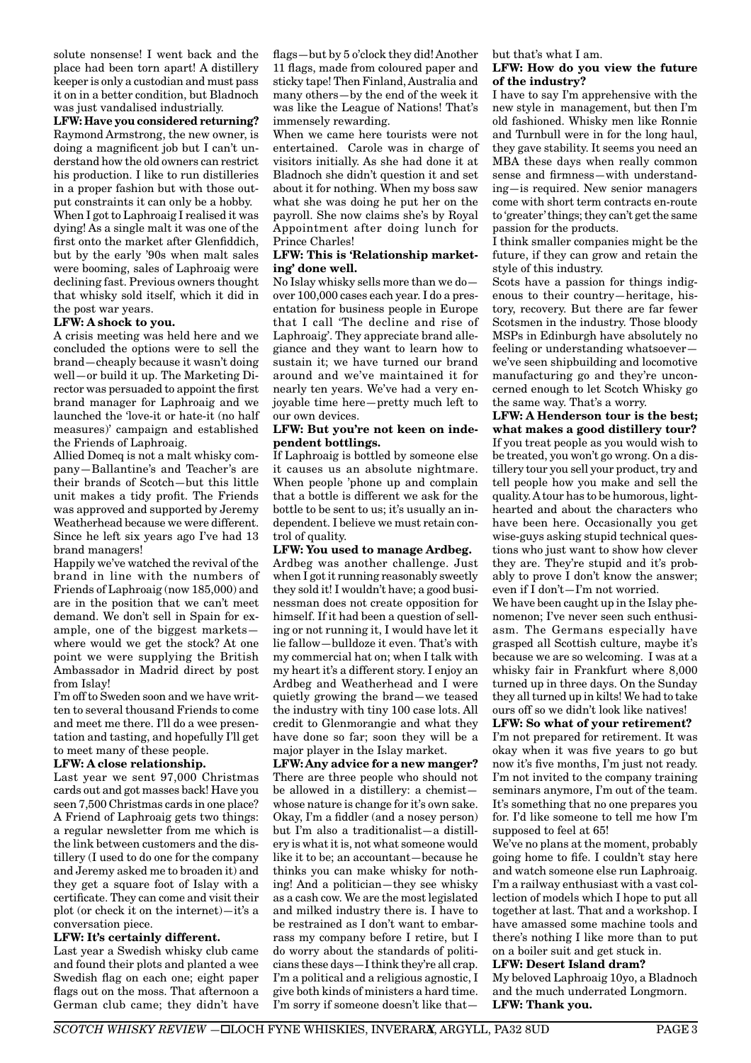solute nonsense! I went back and the place had been torn apart! A distillery keeper is only a custodian and must pass it on in a better condition, but Bladnoch was just vandalised industrially.

**LFW: Have you considered returning?** Raymond Armstrong, the new owner, is doing a magnificent job but I can't understand how the old owners can restrict his production. I like to run distilleries in a proper fashion but with those output constraints it can only be a hobby. When I got to Laphroaig I realised it was dying! As a single malt it was one of the first onto the market after Glenfiddich, but by the early '90s when malt sales were booming, sales of Laphroaig were declining fast. Previous owners thought that whisky sold itself, which it did in

the post war years.

### **LFW: A shock to you.**

A crisis meeting was held here and we concluded the options were to sell the brand—cheaply because it wasn't doing well—or build it up. The Marketing Director was persuaded to appoint the first brand manager for Laphroaig and we launched the 'love-it or hate-it (no half measures)' campaign and established the Friends of Laphroaig.

Allied Domeq is not a malt whisky company—Ballantine's and Teacher's are their brands of Scotch—but this little unit makes a tidy profit. The Friends was approved and supported by Jeremy Weatherhead because we were different. Since he left six years ago I've had 13 brand managers!

Happily we've watched the revival of the brand in line with the numbers of Friends of Laphroaig (now 185,000) and are in the position that we can't meet demand. We don't sell in Spain for example, one of the biggest markets where would we get the stock? At one point we were supplying the British Ambassador in Madrid direct by post from Islay!

I'm off to Sweden soon and we have written to several thousand Friends to come and meet me there. I'll do a wee presentation and tasting, and hopefully I'll get to meet many of these people.

### **LFW: A close relationship.**

Last year we sent 97,000 Christmas cards out and got masses back! Have you seen 7,500 Christmas cards in one place? A Friend of Laphroaig gets two things: a regular newsletter from me which is the link between customers and the distillery (I used to do one for the company and Jeremy asked me to broaden it) and they get a square foot of Islay with a certificate. They can come and visit their plot (or check it on the internet)—it's a conversation piece.

### **LFW: It's certainly different.**

Last year a Swedish whisky club came and found their plots and planted a wee Swedish flag on each one; eight paper flags out on the moss. That afternoon a German club came; they didn't have flags—but by 5 o'clock they did! Another 11 flags, made from coloured paper and sticky tape! Then Finland, Australia and many others—by the end of the week it was like the League of Nations! That's immensely rewarding.

When we came here tourists were not entertained. Carole was in charge of visitors initially. As she had done it at Bladnoch she didn't question it and set about it for nothing. When my boss saw what she was doing he put her on the payroll. She now claims she's by Royal Appointment after doing lunch for Prince Charles!

### **LFW: This is 'Relationship marketing' done well.**

No Islay whisky sells more than we do over 100,000 cases each year. I do a presentation for business people in Europe that I call 'The decline and rise of Laphroaig'. They appreciate brand allegiance and they want to learn how to sustain it; we have turned our brand around and we've maintained it for nearly ten years. We've had a very enjoyable time here—pretty much left to our own devices.

### **LFW: But you're not keen on independent bottlings.**

If Laphroaig is bottled by someone else it causes us an absolute nightmare. When people 'phone up and complain that a bottle is different we ask for the bottle to be sent to us; it's usually an independent. I believe we must retain control of quality.

**LFW: You used to manage Ardbeg.** Ardbeg was another challenge. Just when I got it running reasonably sweetly they sold it! I wouldn't have; a good businessman does not create opposition for himself. If it had been a question of selling or not running it, I would have let it lie fallow—bulldoze it even. That's with my commercial hat on; when I talk with my heart it's a different story. I enjoy an Ardbeg and Weatherhead and I were quietly growing the brand—we teased the industry with tiny 100 case lots. All credit to Glenmorangie and what they have done so far; soon they will be a major player in the Islay market.

**LFW: Any advice for a new manger?** There are three people who should not be allowed in a distillery: a chemist whose nature is change for it's own sake. Okay, I'm a fiddler (and a nosey person) but I'm also a traditionalist—a distillery is what it is, not what someone would like it to be; an accountant—because he thinks you can make whisky for nothing! And a politician—they see whisky as a cash cow. We are the most legislated and milked industry there is. I have to be restrained as I don't want to embarrass my company before I retire, but I do worry about the standards of politicians these days—I think they're all crap. I'm a political and a religious agnostic, I give both kinds of ministers a hard time. I'm sorry if someone doesn't like thatbut that's what I am.

### **LFW: How do you view the future of the industry?**

I have to say I'm apprehensive with the new style in management, but then I'm old fashioned. Whisky men like Ronnie and Turnbull were in for the long haul, they gave stability. It seems you need an MBA these days when really common sense and firmness—with understanding—is required. New senior managers come with short term contracts en-route to 'greater' things; they can't get the same passion for the products.

I think smaller companies might be the future, if they can grow and retain the style of this industry.

Scots have a passion for things indigenous to their country—heritage, history, recovery. But there are far fewer Scotsmen in the industry. Those bloody MSPs in Edinburgh have absolutely no feeling or understanding whatsoever we've seen shipbuilding and locomotive manufacturing go and they're unconcerned enough to let Scotch Whisky go the same way. That's a worry.

**LFW: A Henderson tour is the best; what makes a good distillery tour?** If you treat people as you would wish to be treated, you won't go wrong. On a distillery tour you sell your product, try and tell people how you make and sell the quality. A tour has to be humorous, lighthearted and about the characters who have been here. Occasionally you get wise-guys asking stupid technical questions who just want to show how clever they are. They're stupid and it's probably to prove I don't know the answer; even if I don't—I'm not worried.

We have been caught up in the Islay phenomenon; I've never seen such enthusiasm. The Germans especially have grasped all Scottish culture, maybe it's because we are so welcoming. I was at a whisky fair in Frankfurt where 8,000 turned up in three days. On the Sunday they all turned up in kilts! We had to take ours off so we didn't look like natives!

### **LFW: So what of your retirement?**

I'm not prepared for retirement. It was okay when it was five years to go but now it's five months, I'm just not ready. I'm not invited to the company training seminars anymore, I'm out of the team. It's something that no one prepares you for. I'd like someone to tell me how I'm supposed to feel at 65!

We've no plans at the moment, probably going home to fife. I couldn't stay here and watch someone else run Laphroaig. I'm a railway enthusiast with a vast collection of models which I hope to put all together at last. That and a workshop. I have amassed some machine tools and there's nothing I like more than to put on a boiler suit and get stuck in.

### **LFW: Desert Island dram?**

My beloved Laphroaig 10yo, a Bladnoch and the much underrated Longmorn. **LFW: Thank you.**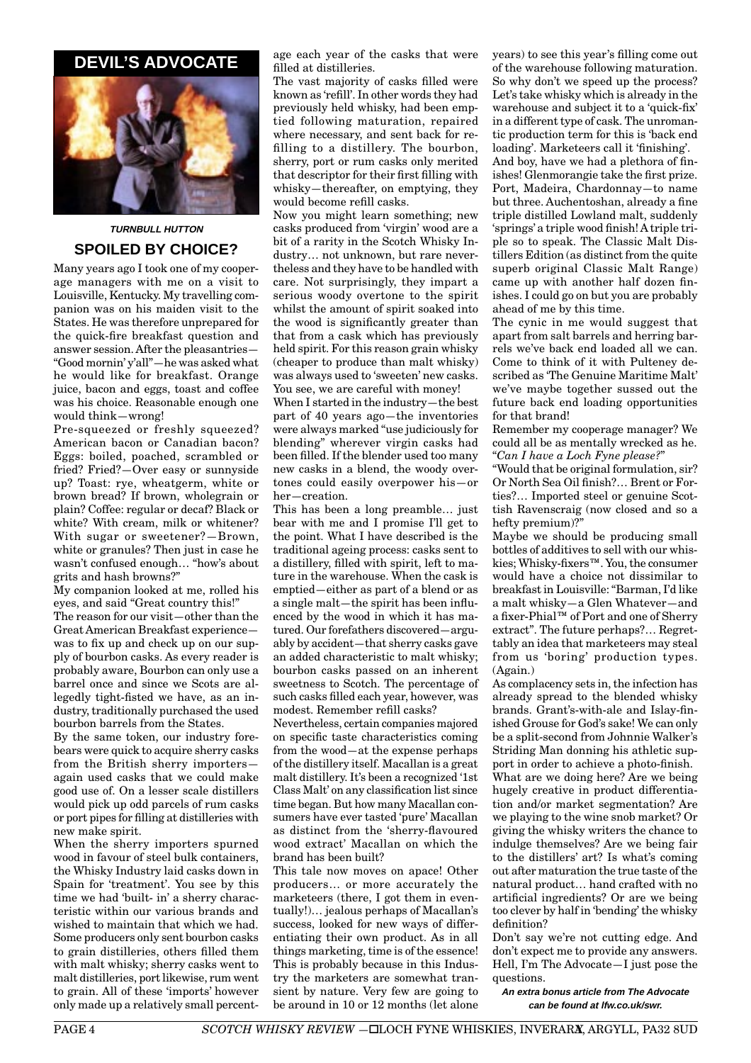# **DEVIL'S ADVOCATE**



# **TURNBULL HUTTON SPOILED BY CHOICE?**

Many years ago I took one of my cooperage managers with me on a visit to Louisville, Kentucky. My travelling companion was on his maiden visit to the States. He was therefore unprepared for the quick-fire breakfast question and answer session. After the pleasantries— "Good mornin' y'all"—he was asked what he would like for breakfast. Orange juice, bacon and eggs, toast and coffee was his choice. Reasonable enough one would think—wrong!

Pre-squeezed or freshly squeezed? American bacon or Canadian bacon? Eggs: boiled, poached, scrambled or fried? Fried?—Over easy or sunnyside up? Toast: rye, wheatgerm, white or brown bread? If brown, wholegrain or plain? Coffee: regular or decaf? Black or white? With cream, milk or whitener? With sugar or sweetener?—Brown, white or granules? Then just in case he wasn't confused enough… "how's about grits and hash browns?"

My companion looked at me, rolled his eyes, and said "Great country this!" The reason for our visit—other than the Great American Breakfast experience was to fix up and check up on our supply of bourbon casks. As every reader is probably aware, Bourbon can only use a barrel once and since we Scots are allegedly tight-fisted we have, as an industry, traditionally purchased the used bourbon barrels from the States.

By the same token, our industry forebears were quick to acquire sherry casks from the British sherry importers again used casks that we could make good use of. On a lesser scale distillers would pick up odd parcels of rum casks or port pipes for filling at distilleries with new make spirit.

When the sherry importers spurned wood in favour of steel bulk containers, the Whisky Industry laid casks down in Spain for 'treatment'. You see by this time we had 'built- in' a sherry characteristic within our various brands and wished to maintain that which we had. Some producers only sent bourbon casks to grain distilleries, others filled them with malt whisky; sherry casks went to malt distilleries, port likewise, rum went to grain. All of these 'imports' however only made up a relatively small percentage each year of the casks that were filled at distilleries.

The vast majority of casks filled were known as 'refill'. In other words they had previously held whisky, had been emptied following maturation, repaired where necessary, and sent back for refilling to a distillery. The bourbon, sherry, port or rum casks only merited that descriptor for their first filling with whisky—thereafter, on emptying, they would become refill casks.

Now you might learn something; new casks produced from 'virgin' wood are a bit of a rarity in the Scotch Whisky Industry… not unknown, but rare nevertheless and they have to be handled with care. Not surprisingly, they impart a serious woody overtone to the spirit whilst the amount of spirit soaked into the wood is significantly greater than that from a cask which has previously held spirit. For this reason grain whisky (cheaper to produce than malt whisky) was always used to 'sweeten' new casks. You see, we are careful with money!

When I started in the industry—the best part of 40 years ago—the inventories were always marked "use judiciously for blending" wherever virgin casks had been filled. If the blender used too many new casks in a blend, the woody overtones could easily overpower his—or her—creation.

This has been a long preamble… just bear with me and I promise I'll get to the point. What I have described is the traditional ageing process: casks sent to a distillery, filled with spirit, left to mature in the warehouse. When the cask is emptied—either as part of a blend or as a single malt—the spirit has been influenced by the wood in which it has matured. Our forefathers discovered—arguably by accident—that sherry casks gave an added characteristic to malt whisky; bourbon casks passed on an inherent sweetness to Scotch. The percentage of such casks filled each year, however, was modest. Remember refill casks?

Nevertheless, certain companies majored on specific taste characteristics coming from the wood—at the expense perhaps of the distillery itself. Macallan is a great malt distillery. It's been a recognized '1st Class Malt' on any classification list since time began. But how many Macallan consumers have ever tasted 'pure' Macallan as distinct from the 'sherry-flavoured wood extract' Macallan on which the brand has been built?

This tale now moves on apace! Other producers… or more accurately the marketeers (there, I got them in eventually!)… jealous perhaps of Macallan's success, looked for new ways of differentiating their own product. As in all things marketing, time is of the essence! This is probably because in this Industry the marketers are somewhat transient by nature. Very few are going to be around in 10 or 12 months (let alone

years) to see this year's filling come out of the warehouse following maturation. So why don't we speed up the process? Let's take whisky which is already in the warehouse and subject it to a 'quick-fix' in a different type of cask. The unromantic production term for this is 'back end loading'. Marketeers call it 'finishing'. And boy, have we had a plethora of finishes! Glenmorangie take the first prize. Port, Madeira, Chardonnay—to name but three. Auchentoshan, already a fine triple distilled Lowland malt, suddenly 'springs' a triple wood finish! A triple triple so to speak. The Classic Malt Distillers Edition (as distinct from the quite superb original Classic Malt Range) came up with another half dozen finishes. I could go on but you are probably ahead of me by this time.

The cynic in me would suggest that apart from salt barrels and herring barrels we've back end loaded all we can. Come to think of it with Pulteney described as 'The Genuine Maritime Malt' we've maybe together sussed out the future back end loading opportunities for that brand!

Remember my cooperage manager? We could all be as mentally wrecked as he. "*Can I have a Loch Fyne please?*"

"Would that be original formulation, sir? Or North Sea Oil finish?… Brent or Forties?… Imported steel or genuine Scottish Ravenscraig (now closed and so a hefty premium)?"

Maybe we should be producing small bottles of additives to sell with our whiskies; Whisky-fixers™. You, the consumer would have a choice not dissimilar to breakfast in Louisville: "Barman, I'd like a malt whisky—a Glen Whatever—and a fixer-Phial™ of Port and one of Sherry extract". The future perhaps?… Regrettably an idea that marketeers may steal from us 'boring' production types. (Again.)

As complacency sets in, the infection has already spread to the blended whisky brands. Grant's-with-ale and Islay-finished Grouse for God's sake! We can only be a split-second from Johnnie Walker's Striding Man donning his athletic support in order to achieve a photo-finish. What are we doing here? Are we being

hugely creative in product differentiation and/or market segmentation? Are we playing to the wine snob market? Or giving the whisky writers the chance to indulge themselves? Are we being fair to the distillers' art? Is what's coming out after maturation the true taste of the natural product… hand crafted with no artificial ingredients? Or are we being too clever by half in 'bending' the whisky definition?

Don't say we're not cutting edge. And don't expect me to provide any answers. Hell, I'm The Advocate—I just pose the questions.

**An extra bonus article from The Advocate can be found at lfw.co.uk/swr.**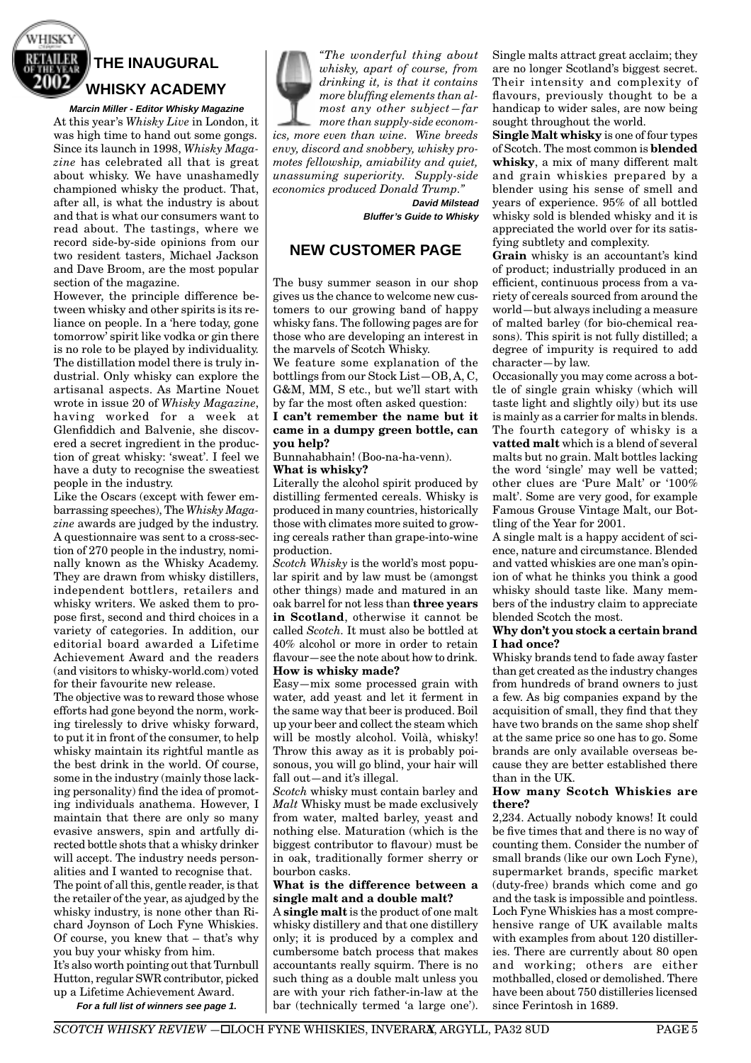

# **THE INAUGURAL WHISKY ACADEMY**

**Marcin Miller - Editor Whisky Magazine** At this year's *Whisky Live* in London, it was high time to hand out some gongs. Since its launch in 1998, *Whisky Magazine* has celebrated all that is great about whisky. We have unashamedly championed whisky the product. That, after all, is what the industry is about and that is what our consumers want to read about. The tastings, where we record side-by-side opinions from our two resident tasters, Michael Jackson and Dave Broom, are the most popular section of the magazine.

However, the principle difference between whisky and other spirits is its reliance on people. In a 'here today, gone tomorrow' spirit like vodka or gin there is no role to be played by individuality. The distillation model there is truly industrial. Only whisky can explore the artisanal aspects. As Martine Nouet wrote in issue 20 of *Whisky Magazine*, having worked for a week at Glenfiddich and Balvenie, she discovered a secret ingredient in the production of great whisky: 'sweat'. I feel we have a duty to recognise the sweatiest people in the industry.

Like the Oscars (except with fewer embarrassing speeches), The *Whisky Magazine* awards are judged by the industry. A questionnaire was sent to a cross-section of 270 people in the industry, nominally known as the Whisky Academy. They are drawn from whisky distillers, independent bottlers, retailers and whisky writers. We asked them to propose first, second and third choices in a variety of categories. In addition, our editorial board awarded a Lifetime Achievement Award and the readers (and visitors to whisky-world.com) voted for their favourite new release.

The objective was to reward those whose efforts had gone beyond the norm, working tirelessly to drive whisky forward, to put it in front of the consumer, to help whisky maintain its rightful mantle as the best drink in the world. Of course, some in the industry (mainly those lacking personality) find the idea of promoting individuals anathema. However, I maintain that there are only so many evasive answers, spin and artfully directed bottle shots that a whisky drinker will accept. The industry needs personalities and I wanted to recognise that. The point of all this, gentle reader, is that the retailer of the year, as ajudged by the whisky industry, is none other than Richard Joynson of Loch Fyne Whiskies. Of course, you knew that – that's why you buy your whisky from him. It's also worth pointing out that Turnbull Hutton, regular SWR contributor, picked up a Lifetime Achievement Award.

**For a full list of winners see page 1.**



*"The wonderful thing about whisky, apart of course, from drinking it, is that it contains more bluffing elements than almost any other subject—far more than supply-side econom-*

*ics, more even than wine. Wine breeds envy, discord and snobbery, whisky promotes fellowship, amiability and quiet, unassuming superiority. Supply-side economics produced Donald Trump."*

 **David Milstead Bluffer's Guide to Whisky**

# **NEW CUSTOMER PAGE**

The busy summer season in our shop gives us the chance to welcome new customers to our growing band of happy whisky fans. The following pages are for those who are developing an interest in the marvels of Scotch Whisky.

We feature some explanation of the bottlings from our Stock List—OB, A, C, G&M, MM, S etc., but we'll start with by far the most often asked question:

### **I can't remember the name but it came in a dumpy green bottle, can you help?**

Bunnahabhain! (Boo-na-ha-venn). **What is whisky?**

Literally the alcohol spirit produced by distilling fermented cereals. Whisky is produced in many countries, historically those with climates more suited to growing cereals rather than grape-into-wine production.

*Scotch Whisky* is the world's most popular spirit and by law must be (amongst other things) made and matured in an oak barrel for not less than **three years in Scotland**, otherwise it cannot be called *Scotch.* It must also be bottled at 40% alcohol or more in order to retain flavour—see the note about how to drink. **How is whisky made?**

Easy—mix some processed grain with water, add yeast and let it ferment in the same way that beer is produced. Boil up your beer and collect the steam which will be mostly alcohol. Voilà, whisky! Throw this away as it is probably poisonous, you will go blind, your hair will fall out—and it's illegal.

*Scotch* whisky must contain barley and *Malt* Whisky must be made exclusively from water, malted barley, yeast and nothing else. Maturation (which is the biggest contributor to flavour) must be in oak, traditionally former sherry or bourbon casks.

### **What is the difference between a single malt and a double malt?**

A **single malt** is the product of one malt whisky distillery and that one distillery only; it is produced by a complex and cumbersome batch process that makes accountants really squirm. There is no such thing as a double malt unless you are with your rich father-in-law at the bar (technically termed 'a large one').

Single malts attract great acclaim; they are no longer Scotland's biggest secret. Their intensity and complexity of flavours, previously thought to be a handicap to wider sales, are now being sought throughout the world.

**Single Malt whisky** is one of four types of Scotch. The most common is **blended whisky**, a mix of many different malt and grain whiskies prepared by a blender using his sense of smell and years of experience. 95% of all bottled whisky sold is blended whisky and it is appreciated the world over for its satisfying subtlety and complexity.

**Grain** whisky is an accountant's kind of product; industrially produced in an efficient, continuous process from a variety of cereals sourced from around the world—but always including a measure of malted barley (for bio-chemical reasons). This spirit is not fully distilled; a degree of impurity is required to add character—by law.

Occasionally you may come across a bottle of single grain whisky (which will taste light and slightly oily) but its use is mainly as a carrier for malts in blends. The fourth category of whisky is a **vatted malt** which is a blend of several malts but no grain. Malt bottles lacking the word 'single' may well be vatted; other clues are 'Pure Malt' or '100% malt'. Some are very good, for example Famous Grouse Vintage Malt, our Bottling of the Year for 2001.

A single malt is a happy accident of science, nature and circumstance. Blended and vatted whiskies are one man's opinion of what he thinks you think a good whisky should taste like. Many members of the industry claim to appreciate blended Scotch the most.

### **Why don't you stock a certain brand I had once?**

Whisky brands tend to fade away faster than get created as the industry changes from hundreds of brand owners to just a few. As big companies expand by the acquisition of small, they find that they have two brands on the same shop shelf at the same price so one has to go. Some brands are only available overseas because they are better established there than in the UK.

### **How many Scotch Whiskies are there?**

2,234. Actually nobody knows! It could be five times that and there is no way of counting them. Consider the number of small brands (like our own Loch Fyne), supermarket brands, specific market (duty-free) brands which come and go and the task is impossible and pointless. Loch Fyne Whiskies has a most comprehensive range of UK available malts with examples from about 120 distilleries. There are currently about 80 open and working; others are either mothballed, closed or demolished. There have been about 750 distilleries licensed since Ferintosh in 1689.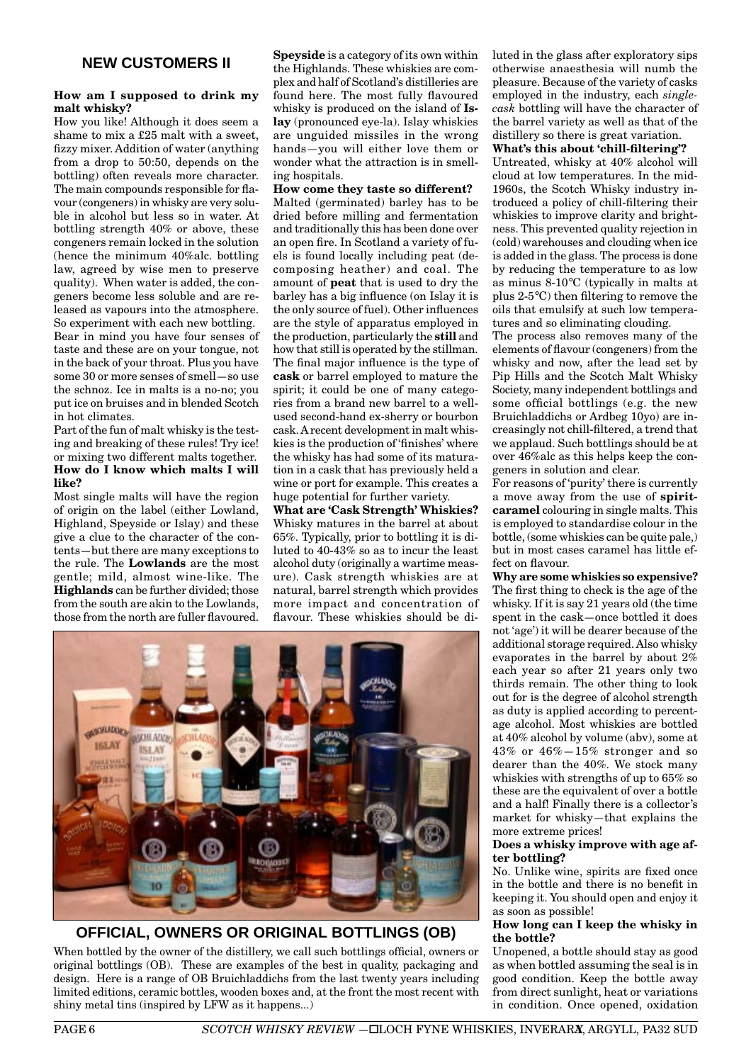### **How am I supposed to drink my malt whisky?**

How you like! Although it does seem a shame to mix a £25 malt with a sweet, fizzy mixer. Addition of water (anything from a drop to 50:50, depends on the bottling) often reveals more character. The main compounds responsible for flavour (congeners) in whisky are very soluble in alcohol but less so in water. At bottling strength 40% or above, these congeners remain locked in the solution (hence the minimum 40%alc. bottling law, agreed by wise men to preserve quality). When water is added, the congeners become less soluble and are released as vapours into the atmosphere. So experiment with each new bottling. Bear in mind you have four senses of taste and these are on your tongue, not in the back of your throat. Plus you have some 30 or more senses of smell—so use the schnoz. Ice in malts is a no-no; you put ice on bruises and in blended Scotch in hot climates.

Part of the fun of malt whisky is the testing and breaking of these rules! Try ice! or mixing two different malts together. **How do I know which malts I will like?**

Most single malts will have the region of origin on the label (either Lowland, Highland, Speyside or Islay) and these give a clue to the character of the contents—but there are many exceptions to the rule. The **Lowlands** are the most gentle; mild, almost wine-like. The **Highlands** can be further divided; those from the south are akin to the Lowlands, those from the north are fuller flavoured. **Speyside** is a category of its own within the Highlands. These whiskies are complex and half of Scotland's distilleries are found here. The most fully flavoured whisky is produced on the island of **Islay** (pronounced eye-la). Islay whiskies are unguided missiles in the wrong hands—you will either love them or wonder what the attraction is in smelling hospitals.

**How come they taste so different?**

Malted (germinated) barley has to be dried before milling and fermentation and traditionally this has been done over an open fire. In Scotland a variety of fuels is found locally including peat (decomposing heather) and coal. The amount of **peat** that is used to dry the barley has a big influence (on Islay it is the only source of fuel). Other influences are the style of apparatus employed in the production, particularly the **still** and how that still is operated by the stillman. The final major influence is the type of **cask** or barrel employed to mature the spirit; it could be one of many categories from a brand new barrel to a wellused second-hand ex-sherry or bourbon cask. A recent development in malt whiskies is the production of 'finishes' where the whisky has had some of its maturation in a cask that has previously held a wine or port for example. This creates a huge potential for further variety.

**What are 'Cask Strength' Whiskies?** Whisky matures in the barrel at about 65%. Typically, prior to bottling it is diluted to 40-43% so as to incur the least alcohol duty (originally a wartime measure). Cask strength whiskies are at natural, barrel strength which provides more impact and concentration of flavour. These whiskies should be di-



**OFFICIAL, OWNERS OR ORIGINAL BOTTLINGS (OB)**

When bottled by the owner of the distillery, we call such bottlings official, owners or original bottlings (OB). These are examples of the best in quality, packaging and design. Here is a range of OB Bruichladdichs from the last twenty years including limited editions, ceramic bottles, wooden boxes and, at the front the most recent with shiny metal tins (inspired by LFW as it happens...)

luted in the glass after exploratory sips otherwise anaesthesia will numb the pleasure. Because of the variety of casks employed in the industry, each *singlecask* bottling will have the character of the barrel variety as well as that of the distillery so there is great variation.

### **What's this about 'chill-filtering'?**

Untreated, whisky at 40% alcohol will cloud at low temperatures. In the mid-1960s, the Scotch Whisky industry introduced a policy of chill-filtering their whiskies to improve clarity and brightness. This prevented quality rejection in (cold) warehouses and clouding when ice is added in the glass. The process is done by reducing the temperature to as low as minus 8-10°C (typically in malts at plus 2-5°C) then filtering to remove the oils that emulsify at such low temperatures and so eliminating clouding.

The process also removes many of the elements of flavour (congeners) from the whisky and now, after the lead set by Pip Hills and the Scotch Malt Whisky Society, many independent bottlings and some official bottlings (e.g. the new Bruichladdichs or Ardbeg 10yo) are increasingly not chill-filtered, a trend that we applaud. Such bottlings should be at over 46%alc as this helps keep the congeners in solution and clear.

For reasons of 'purity' there is currently a move away from the use of **spiritcaramel** colouring in single malts. This is employed to standardise colour in the bottle, (some whiskies can be quite pale,) but in most cases caramel has little effect on flavour.

**Why are some whiskies so expensive?** The first thing to check is the age of the whisky. If it is say 21 years old (the time spent in the cask—once bottled it does not 'age') it will be dearer because of the additional storage required. Also whisky evaporates in the barrel by about 2% each year so after 21 years only two thirds remain. The other thing to look out for is the degree of alcohol strength as duty is applied according to percentage alcohol. Most whiskies are bottled at 40% alcohol by volume (abv), some at 43% or 46%—15% stronger and so dearer than the 40%. We stock many whiskies with strengths of up to 65% so these are the equivalent of over a bottle and a half! Finally there is a collector's market for whisky—that explains the more extreme prices!

### **Does a whisky improve with age after bottling?**

No. Unlike wine, spirits are fixed once in the bottle and there is no benefit in keeping it. You should open and enjoy it as soon as possible!

### **How long can I keep the whisky in the bottle?**

Unopened, a bottle should stay as good as when bottled assuming the seal is in good condition. Keep the bottle away from direct sunlight, heat or variations in condition. Once opened, oxidation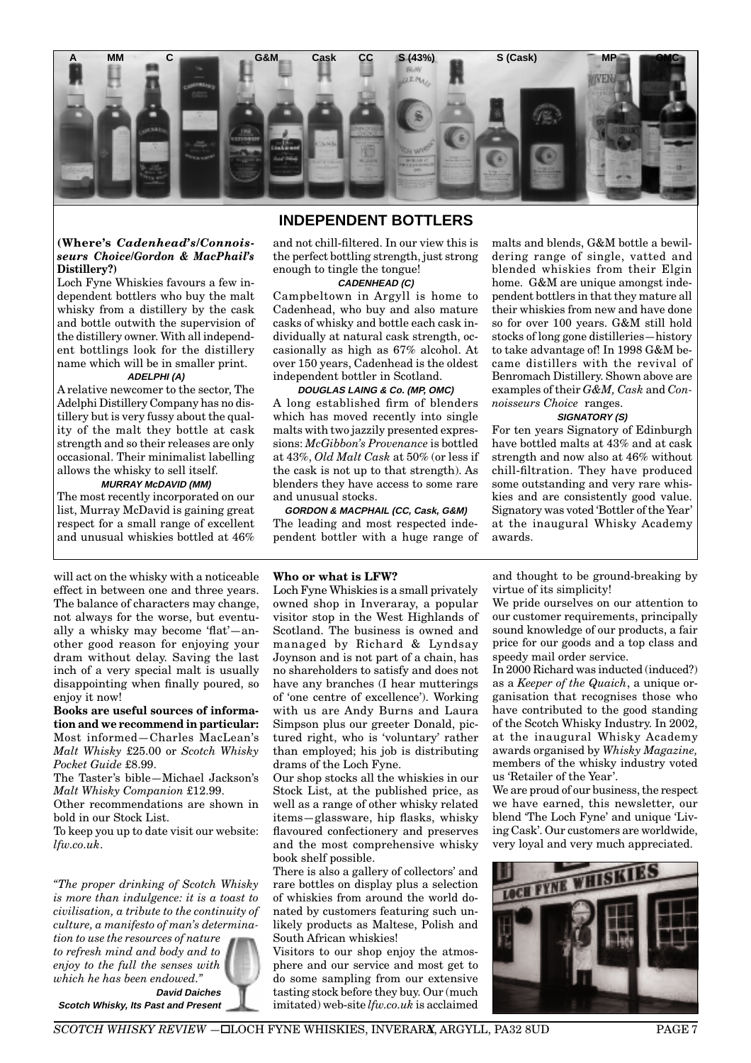

# **INDEPENDENT BOTTLERS**

### **(Where's** *Cadenhead's/Connoisseurs Choice/Gordon & MacPhail's* **Distillery?)**

Loch Fyne Whiskies favours a few independent bottlers who buy the malt whisky from a distillery by the cask and bottle outwith the supervision of the distillery owner. With all independent bottlings look for the distillery name which will be in smaller print.

# **ADELPHI (A)**

A relative newcomer to the sector, The Adelphi Distillery Company has no distillery but is very fussy about the quality of the malt they bottle at cask strength and so their releases are only occasional. Their minimalist labelling allows the whisky to sell itself.

### **MURRAY McDAVID (MM)**

The most recently incorporated on our list, Murray McDavid is gaining great respect for a small range of excellent and unusual whiskies bottled at 46%

will act on the whisky with a noticeable effect in between one and three years. The balance of characters may change, not always for the worse, but eventually a whisky may become 'flat'—another good reason for enjoying your dram without delay. Saving the last inch of a very special malt is usually disappointing when finally poured, so enjoy it now!

**Books are useful sources of information and we recommend in particular:** Most informed—Charles MacLean's *Malt Whisky* £25.00 or *Scotch Whisky Pocket Guide* £8.99.

The Taster's bible—Michael Jackson's *Malt Whisky Companion* £12.99.

Other recommendations are shown in bold in our Stock List.

To keep you up to date visit our website: *lfw.co.uk*.

*"The proper drinking of Scotch Whisky is more than indulgence: it is a toast to civilisation, a tribute to the continuity of culture, a manifesto of man's determina-*

*tion to use the resources of nature to refresh mind and body and to enjoy to the full the senses with which he has been endowed."* **David Daiches**

**Scotch Whisky, Its Past and Present**

and not chill-filtered. In our view this is the perfect bottling strength, just strong enough to tingle the tongue!

**CADENHEAD (C)**

Campbeltown in Argyll is home to Cadenhead, who buy and also mature casks of whisky and bottle each cask individually at natural cask strength, occasionally as high as 67% alcohol. At over 150 years, Cadenhead is the oldest independent bottler in Scotland.

# **DOUGLAS LAING & Co. (MP, OMC)**

A long established firm of blenders which has moved recently into single malts with two jazzily presented expressions: *McGibbon's Provenance* is bottled at 43%, *Old Malt Cask* at 50% (or less if the cask is not up to that strength). As blenders they have access to some rare and unusual stocks.

**GORDON & MACPHAIL (CC, Cask, G&M)** The leading and most respected independent bottler with a huge range of

### **Who or what is LFW?**

Loch Fyne Whiskies is a small privately owned shop in Inveraray, a popular visitor stop in the West Highlands of Scotland. The business is owned and managed by Richard & Lyndsay Joynson and is not part of a chain, has no shareholders to satisfy and does not have any branches (I hear mutterings of 'one centre of excellence'). Working with us are Andy Burns and Laura Simpson plus our greeter Donald, pictured right, who is 'voluntary' rather than employed; his job is distributing drams of the Loch Fyne.

Our shop stocks all the whiskies in our Stock List, at the published price, as well as a range of other whisky related items—glassware, hip flasks, whisky flavoured confectionery and preserves and the most comprehensive whisky book shelf possible.

There is also a gallery of collectors' and rare bottles on display plus a selection of whiskies from around the world donated by customers featuring such unlikely products as Maltese, Polish and South African whiskies!

Visitors to our shop enjoy the atmosphere and our service and most get to do some sampling from our extensive tasting stock before they buy. Our (much imitated) web-site *lfw.co.uk* is acclaimed

malts and blends, G&M bottle a bewildering range of single, vatted and blended whiskies from their Elgin home. G&M are unique amongst independent bottlers in that they mature all their whiskies from new and have done so for over 100 years. G&M still hold stocks of long gone distilleries—history to take advantage of! In 1998 G&M became distillers with the revival of Benromach Distillery. Shown above are examples of their *G&M, Cask* and *Connoisseurs Choice* ranges.

### **SIGNATORY (S)**

For ten years Signatory of Edinburgh have bottled malts at 43% and at cask strength and now also at 46% without chill-filtration. They have produced some outstanding and very rare whiskies and are consistently good value. Signatory was voted 'Bottler of the Year' at the inaugural Whisky Academy awards.

and thought to be ground-breaking by virtue of its simplicity!

We pride ourselves on our attention to our customer requirements, principally sound knowledge of our products, a fair price for our goods and a top class and speedy mail order service.

In 2000 Richard was inducted (induced?) as a *Keeper of the Quaich*, a unique organisation that recognises those who have contributed to the good standing of the Scotch Whisky Industry. In 2002, at the inaugural Whisky Academy awards organised by *Whisky Magazine,* members of the whisky industry voted us 'Retailer of the Year'.

We are proud of our business, the respect we have earned, this newsletter, our blend 'The Loch Fyne' and unique 'Living Cask'. Our customers are worldwide, very loyal and very much appreciated.

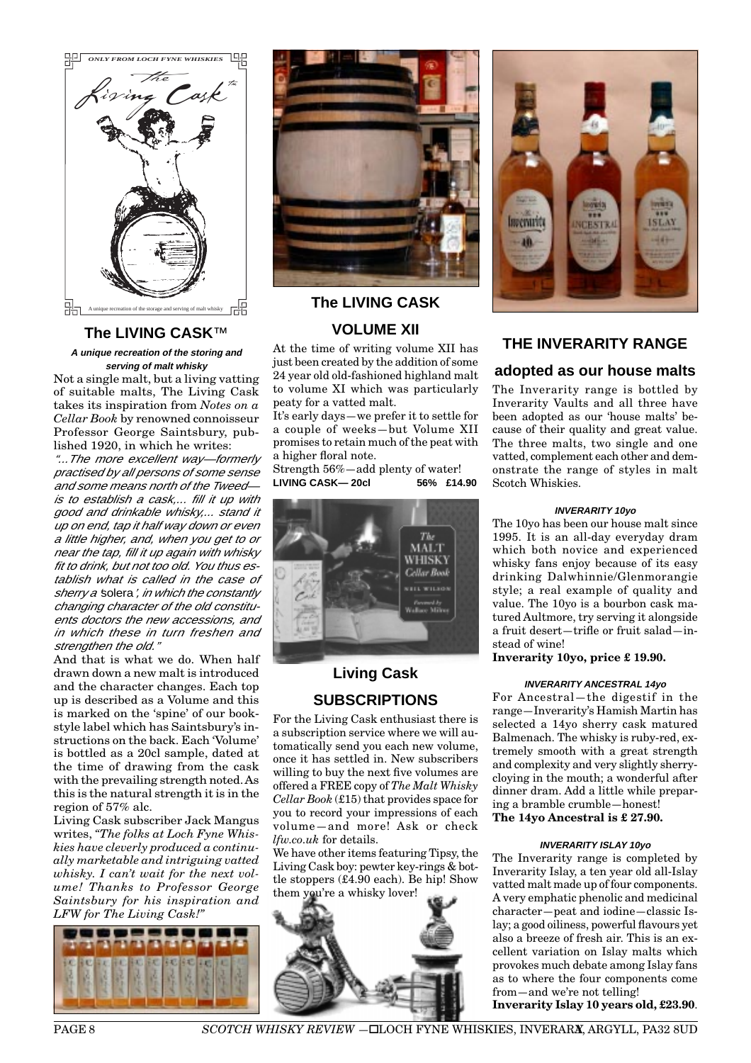

# **The LIVING CASK**™

**A unique recreation of the storing and serving of malt whisky**

Not a single malt, but a living vatting of suitable malts, The Living Cask takes its inspiration from *Notes on a Cellar Book* by renowned connoisseur Professor George Saintsbury, published 1920, in which he writes:

"...The more excellent way—formerly practised by all persons of some sense and some means north of the Tweed is to establish a cask,... fill it up with good and drinkable whisky,... stand it up on end, tap it half way down or even a little higher, and, when you get to or near the tap, fill it up again with whisky fit to drink, but not too old. You thus establish what is called in the case of sherry a 'solera', in which the constantly changing character of the old constituents doctors the new accessions, and in which these in turn freshen and strengthen the old."

And that is what we do. When half drawn down a new malt is introduced and the character changes. Each top up is described as a Volume and this is marked on the 'spine' of our bookstyle label which has Saintsbury's instructions on the back. Each 'Volume' is bottled as a 20cl sample, dated at the time of drawing from the cask with the prevailing strength noted. As this is the natural strength it is in the region of 57% alc.

Living Cask subscriber Jack Mangus writes, *"The folks at Loch Fyne Whiskies have cleverly produced a continually marketable and intriguing vatted whisky. I can't wait for the next volume! Thanks to Professor George Saintsbury for his inspiration and LFW for The Living Cask!"*





# **VOLUME XII**

At the time of writing volume XII has just been created by the addition of some 24 year old old-fashioned highland malt to volume XI which was particularly peaty for a vatted malt.

It's early days—we prefer it to settle for a couple of weeks—but Volume XII promises to retain much of the peat with a higher floral note.

Strength 56%—add plenty of water! **LIVING CASK— 20cl 56% £14.90**



# **Living Cask SUBSCRIPTIONS**

For the Living Cask enthusiast there is a subscription service where we will automatically send you each new volume, once it has settled in. New subscribers willing to buy the next five volumes are offered a FREE copy of *The Malt Whisky Cellar Book* (£15) that provides space for you to record your impressions of each volume—and more! Ask or check *lfw.co.uk* for details.

We have other items featuring Tipsy, the Living Cask boy: pewter key-rings & bottle stoppers (£4.90 each). Be hip! Show them you're a whisky lover!





# **THE INVERARITY RANGE**

# **adopted as our house malts**

The Inverarity range is bottled by Inverarity Vaults and all three have been adopted as our 'house malts' because of their quality and great value. The three malts, two single and one vatted, complement each other and demonstrate the range of styles in malt Scotch Whiskies.

### **INVERARITY 10yo**

The 10yo has been our house malt since 1995. It is an all-day everyday dram which both novice and experienced whisky fans enjoy because of its easy drinking Dalwhinnie/Glenmorangie style; a real example of quality and value. The 10yo is a bourbon cask matured Aultmore, try serving it alongside a fruit desert—trifle or fruit salad—instead of wine!

### **Inverarity 10yo, price £ 19.90.**

### **INVERARITY ANCESTRAL 14yo**

For Ancestral—the digestif in the range—Inverarity's Hamish Martin has selected a 14yo sherry cask matured Balmenach. The whisky is ruby-red, extremely smooth with a great strength and complexity and very slightly sherrycloying in the mouth; a wonderful after dinner dram. Add a little while preparing a bramble crumble—honest! **The 14yo Ancestral is £ 27.90.**

#### **INVERARITY ISLAY 10yo**

The Inverarity range is completed by Inverarity Islay, a ten year old all-Islay vatted malt made up of four components. A very emphatic phenolic and medicinal character—peat and iodine—classic Islay; a good oiliness, powerful flavours yet also a breeze of fresh air. This is an excellent variation on Islay malts which provokes much debate among Islay fans as to where the four components come from—and we're not telling!

**Inverarity Islay 10 years old, £23.90**.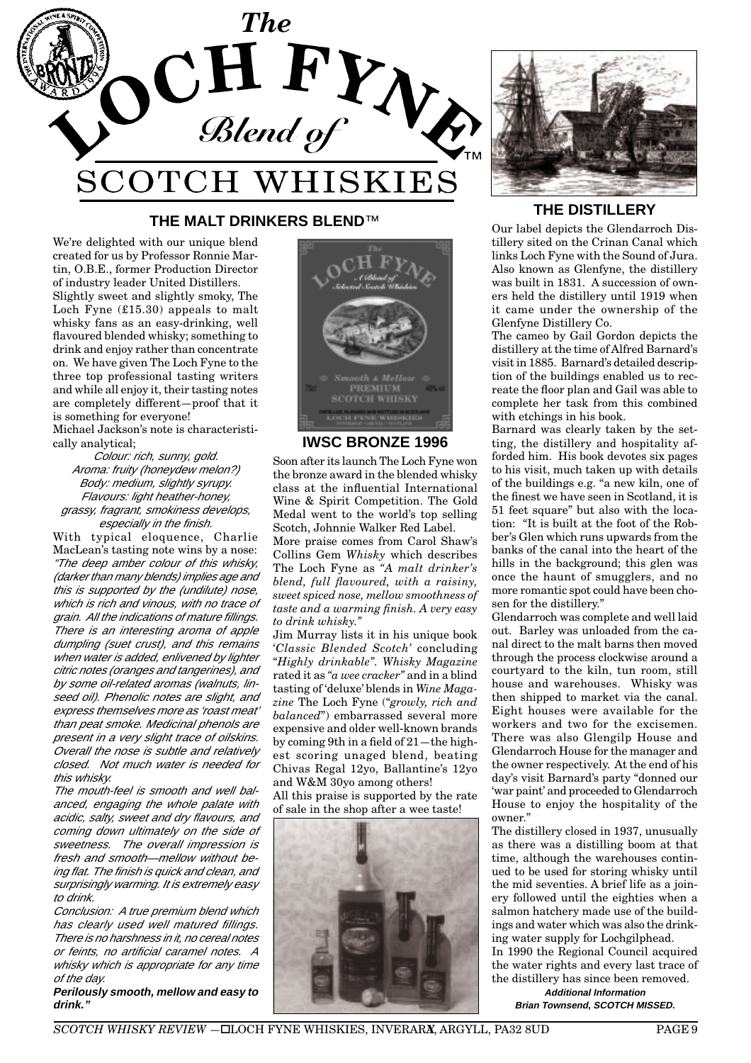

# **THE MALT DRINKERS BLEND**™ **THE DISTILLERY**

We're delighted with our unique blend created for us by Professor Ronnie Martin, O.B.E., former Production Director of industry leader United Distillers. Slightly sweet and slightly smoky, The Loch Fyne (£15.30) appeals to malt whisky fans as an easy-drinking, well flavoured blended whisky; something to drink and enjoy rather than concentrate on. We have given The Loch Fyne to the three top professional tasting writers and while all enjoy it, their tasting notes are completely different—proof that it is something for everyone!

Michael Jackson's note is characteristically analytical;

Colour: rich, sunny, gold. Aroma: fruity (honeydew melon?) Body: medium, slightly syrupy. Flavours: light heather-honey, grassy, fragrant, smokiness develops, especially in the finish.

With typical eloquence, Charlie MacLean's tasting note wins by a nose: "The deep amber colour of this whisky, (darker than many blends) implies age and this is supported by the (undilute) nose, which is rich and vinous, with no trace of grain. All the indications of mature fillings. There is an interesting aroma of apple dumpling (suet crust), and this remains when water is added, enlivened by lighter citric notes (oranges and tangerines), and by some oil-related aromas (walnuts, linseed oil). Phenolic notes are slight, and express themselves more as 'roast meat' than peat smoke. Medicinal phenols are present in a very slight trace of oilskins. Overall the nose is subtle and relatively closed. Not much water is needed for this whisky.

The mouth-feel is smooth and well balanced, engaging the whole palate with acidic, salty, sweet and dry flavours, and coming down ultimately on the side of sweetness. The overall impression is fresh and smooth—mellow without being flat. The finish is quick and clean, and surprisingly warming. It is extremely easy to drink.

Conclusion: A true premium blend which has clearly used well matured fillings. There is no harshness in it, no cereal notes or feints, no artificial caramel notes. A whisky which is appropriate for any time of the day.

**Perilously smooth, mellow and easy to drink."**



# **IWSC BRONZE 1996**

Soon after its launch The Loch Fyne won the bronze award in the blended whisky class at the influential International Wine & Spirit Competition. The Gold Medal went to the world's top selling Scotch, Johnnie Walker Red Label.

More praise comes from Carol Shaw's Collins Gem *Whisky* which describes The Loch Fyne as *"A malt drinker's blend, full flavoured, with a raisiny, sweet spiced nose, mellow smoothness of taste and a warming finish. A very easy to drink whisky."*

Jim Murray lists it in his unique book *'Classic Blended Scotch'* concluding "*Highly drinkable". Whisky Magazine* rated it as *"a wee cracker"* and in a blind tasting of 'deluxe' blends in *Wine Magazine* The Loch Fyne ("*growly, rich and balanced*") embarrassed several more expensive and older well-known brands by coming 9th in a field of 21—the highest scoring unaged blend, beating Chivas Regal 12yo, Ballantine's 12yo and W&M 30yo among others! All this praise is supported by the rate





Our label depicts the Glendarroch Distillery sited on the Crinan Canal which links Loch Fyne with the Sound of Jura. Also known as Glenfyne, the distillery was built in 1831. A succession of owners held the distillery until 1919 when it came under the ownership of the Glenfyne Distillery Co.

The cameo by Gail Gordon depicts the distillery at the time of Alfred Barnard's visit in 1885. Barnard's detailed description of the buildings enabled us to recreate the floor plan and Gail was able to complete her task from this combined with etchings in his book.

Barnard was clearly taken by the setting, the distillery and hospitality afforded him. His book devotes six pages to his visit, much taken up with details of the buildings e.g. "a new kiln, one of the finest we have seen in Scotland, it is 51 feet square" but also with the location: "It is built at the foot of the Robber's Glen which runs upwards from the banks of the canal into the heart of the hills in the background; this glen was once the haunt of smugglers, and no more romantic spot could have been chosen for the distillery."

Glendarroch was complete and well laid out. Barley was unloaded from the canal direct to the malt barns then moved through the process clockwise around a courtyard to the kiln, tun room, still house and warehouses. Whisky was then shipped to market via the canal. Eight houses were available for the workers and two for the excisemen. There was also Glengilp House and Glendarroch House for the manager and the owner respectively. At the end of his day's visit Barnard's party "donned our 'war paint' and proceeded to Glendarroch House to enjoy the hospitality of the owner."

The distillery closed in 1937, unusually as there was a distilling boom at that time, although the warehouses continued to be used for storing whisky until the mid seventies. A brief life as a joinery followed until the eighties when a salmon hatchery made use of the buildings and water which was also the drinking water supply for Lochgilphead. In 1990 the Regional Council acquired the water rights and every last trace of the distillery has since been removed.

**Additional Information Brian Townsend, SCOTCH MISSED.**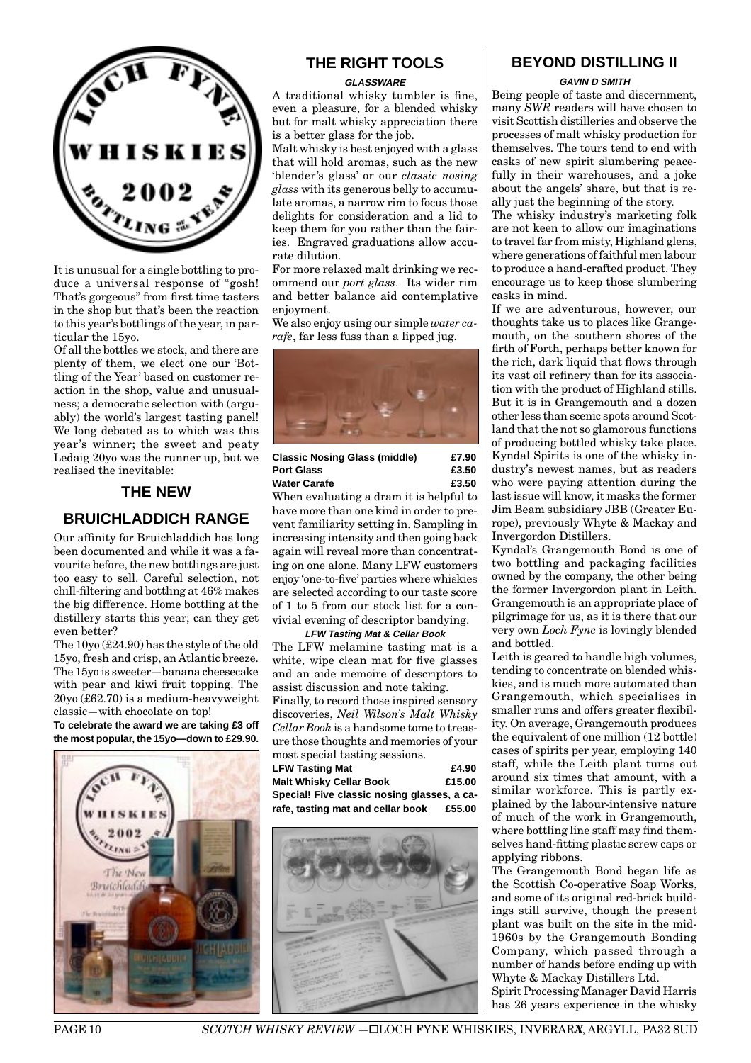

It is unusual for a single bottling to produce a universal response of "gosh! That's gorgeous" from first time tasters in the shop but that's been the reaction to this year's bottlings of the year, in particular the 15yo.

Of all the bottles we stock, and there are plenty of them, we elect one our 'Bottling of the Year' based on customer reaction in the shop, value and unusualness; a democratic selection with (arguably) the world's largest tasting panel! We long debated as to which was this year's winner; the sweet and peaty Ledaig 20yo was the runner up, but we realised the inevitable:

# **THE NEW**

# **BRUICHLADDICH RANGE**

Our affinity for Bruichladdich has long been documented and while it was a favourite before, the new bottlings are just too easy to sell. Careful selection, not chill-filtering and bottling at 46% makes the big difference. Home bottling at the distillery starts this year; can they get even better?

The 10yo (£24.90) has the style of the old 15yo, fresh and crisp, an Atlantic breeze. The 15yo is sweeter—banana cheesecake with pear and kiwi fruit topping. The 20yo (£62.70) is a medium-heavyweight classic—with chocolate on top!

**To celebrate the award we are taking £3 off the most popular, the 15yo—down to £29.90.**



# **THE RIGHT TOOLS**

#### **GLASSWARE**

A traditional whisky tumbler is fine, even a pleasure, for a blended whisky but for malt whisky appreciation there is a better glass for the job.

Malt whisky is best enjoyed with a glass that will hold aromas, such as the new 'blender's glass' or our *classic nosing glass* with its generous belly to accumulate aromas, a narrow rim to focus those delights for consideration and a lid to keep them for you rather than the fairies. Engraved graduations allow accurate dilution.

For more relaxed malt drinking we recommend our *port glass*. Its wider rim and better balance aid contemplative enjoyment.

We also enjoy using our simple *water carafe*, far less fuss than a lipped jug.



### **Classic Nosing Glass (middle) £7.90** Port Glass **23.50 Water Carafe £3.50**

When evaluating a dram it is helpful to have more than one kind in order to prevent familiarity setting in. Sampling in increasing intensity and then going back again will reveal more than concentrating on one alone. Many LFW customers enjoy 'one-to-five' parties where whiskies are selected according to our taste score of 1 to 5 from our stock list for a convivial evening of descriptor bandying.

**LFW Tasting Mat & Cellar Book** The LFW melamine tasting mat is a white, wipe clean mat for five glasses and an aide memoire of descriptors to assist discussion and note taking.

Finally, to record those inspired sensory discoveries, *Neil Wilson's Malt Whisky Cellar Book* is a handsome tome to treasure those thoughts and memories of your most special tasting sessions.

| <b>LFW Tasting Mat</b>                      | £4.90  |
|---------------------------------------------|--------|
| <b>Malt Whisky Cellar Book</b>              | £15.00 |
| Special! Five classic nosing glasses, a ca- |        |
| rafe, tasting mat and cellar book           | £55.00 |



# **BEYOND DISTILLING II**

### **GAVIN D SMITH**

Being people of taste and discernment, many *SWR* readers will have chosen to visit Scottish distilleries and observe the processes of malt whisky production for themselves. The tours tend to end with casks of new spirit slumbering peacefully in their warehouses, and a joke about the angels' share, but that is really just the beginning of the story.

The whisky industry's marketing folk are not keen to allow our imaginations to travel far from misty, Highland glens, where generations of faithful men labour to produce a hand-crafted product. They encourage us to keep those slumbering casks in mind.

If we are adventurous, however, our thoughts take us to places like Grangemouth, on the southern shores of the firth of Forth, perhaps better known for the rich, dark liquid that flows through its vast oil refinery than for its association with the product of Highland stills. But it is in Grangemouth and a dozen other less than scenic spots around Scotland that the not so glamorous functions of producing bottled whisky take place. Kyndal Spirits is one of the whisky industry's newest names, but as readers who were paying attention during the last issue will know, it masks the former Jim Beam subsidiary JBB (Greater Europe), previously Whyte & Mackay and Invergordon Distillers.

Kyndal's Grangemouth Bond is one of two bottling and packaging facilities owned by the company, the other being the former Invergordon plant in Leith. Grangemouth is an appropriate place of pilgrimage for us, as it is there that our very own *Loch Fyne* is lovingly blended and bottled.

Leith is geared to handle high volumes, tending to concentrate on blended whiskies, and is much more automated than Grangemouth, which specialises in smaller runs and offers greater flexibility. On average, Grangemouth produces the equivalent of one million (12 bottle) cases of spirits per year, employing 140 staff, while the Leith plant turns out around six times that amount, with a similar workforce. This is partly explained by the labour-intensive nature of much of the work in Grangemouth, where bottling line staff may find themselves hand-fitting plastic screw caps or applying ribbons.

The Grangemouth Bond began life as the Scottish Co-operative Soap Works, and some of its original red-brick buildings still survive, though the present plant was built on the site in the mid-1960s by the Grangemouth Bonding Company, which passed through a number of hands before ending up with Whyte & Mackay Distillers Ltd. Spirit Processing Manager David Harris has 26 years experience in the whisky

**PAGE 10** *SCOTCH WHISKY REVIEW* -**ILOCH FYNE WHISKIES, INVERARA, ARGYLL, PA32 8UD**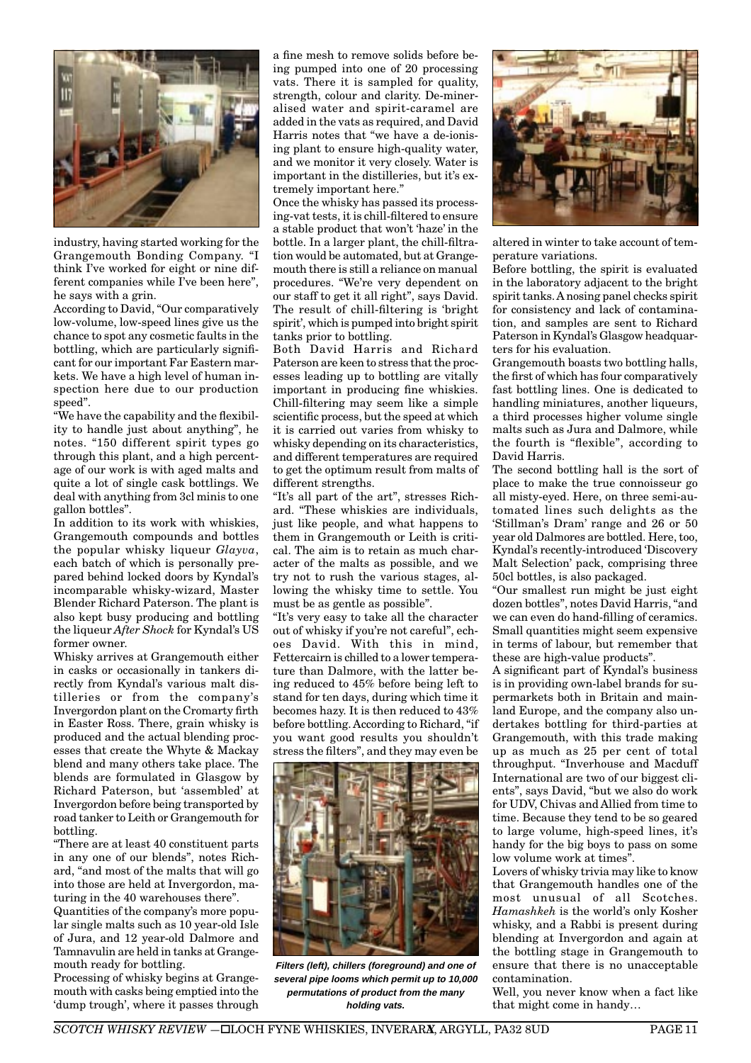

industry, having started working for the Grangemouth Bonding Company. "I think I've worked for eight or nine different companies while I've been here", he says with a grin.

According to David, "Our comparatively low-volume, low-speed lines give us the chance to spot any cosmetic faults in the bottling, which are particularly significant for our important Far Eastern markets. We have a high level of human inspection here due to our production speed".

"We have the capability and the flexibility to handle just about anything", he notes. "150 different spirit types go through this plant, and a high percentage of our work is with aged malts and quite a lot of single cask bottlings. We deal with anything from 3cl minis to one gallon bottles".

In addition to its work with whiskies, Grangemouth compounds and bottles the popular whisky liqueur *Glayva*, each batch of which is personally prepared behind locked doors by Kyndal's incomparable whisky-wizard, Master Blender Richard Paterson. The plant is also kept busy producing and bottling the liqueur *After Shock* for Kyndal's US former owner.

Whisky arrives at Grangemouth either in casks or occasionally in tankers directly from Kyndal's various malt distilleries or from the company's Invergordon plant on the Cromarty firth in Easter Ross. There, grain whisky is produced and the actual blending processes that create the Whyte & Mackay blend and many others take place. The blends are formulated in Glasgow by Richard Paterson, but 'assembled' at Invergordon before being transported by road tanker to Leith or Grangemouth for bottling.

"There are at least 40 constituent parts in any one of our blends", notes Richard, "and most of the malts that will go into those are held at Invergordon, maturing in the 40 warehouses there".

Quantities of the company's more popular single malts such as 10 year-old Isle of Jura, and 12 year-old Dalmore and Tamnavulin are held in tanks at Grangemouth ready for bottling.

Processing of whisky begins at Grangemouth with casks being emptied into the 'dump trough', where it passes through a fine mesh to remove solids before being pumped into one of 20 processing vats. There it is sampled for quality, strength, colour and clarity. De-mineralised water and spirit-caramel are added in the vats as required, and David Harris notes that "we have a de-ionising plant to ensure high-quality water. and we monitor it very closely. Water is important in the distilleries, but it's extremely important here."

Once the whisky has passed its processing-vat tests, it is chill-filtered to ensure a stable product that won't 'haze' in the bottle. In a larger plant, the chill-filtration would be automated, but at Grangemouth there is still a reliance on manual procedures. "We're very dependent on our staff to get it all right", says David. The result of chill-filtering is 'bright spirit', which is pumped into bright spirit tanks prior to bottling.

Both David Harris and Richard Paterson are keen to stress that the processes leading up to bottling are vitally important in producing fine whiskies. Chill-filtering may seem like a simple scientific process, but the speed at which it is carried out varies from whisky to whisky depending on its characteristics, and different temperatures are required to get the optimum result from malts of different strengths.

"It's all part of the art", stresses Richard. "These whiskies are individuals, just like people, and what happens to them in Grangemouth or Leith is critical. The aim is to retain as much character of the malts as possible, and we try not to rush the various stages, allowing the whisky time to settle. You must be as gentle as possible".

"It's very easy to take all the character out of whisky if you're not careful", echoes David. With this in mind, Fettercairn is chilled to a lower temperature than Dalmore, with the latter being reduced to 45% before being left to stand for ten days, during which time it becomes hazy. It is then reduced to 43% before bottling. According to Richard, "if you want good results you shouldn't stress the filters", and they may even be



**Filters (left), chillers (foreground) and one of several pipe looms which permit up to 10,000 permutations of product from the many holding vats.**



altered in winter to take account of temperature variations.

Before bottling, the spirit is evaluated in the laboratory adjacent to the bright spirit tanks. A nosing panel checks spirit for consistency and lack of contamination, and samples are sent to Richard Paterson in Kyndal's Glasgow headquarters for his evaluation.

Grangemouth boasts two bottling halls, the first of which has four comparatively fast bottling lines. One is dedicated to handling miniatures, another liqueurs, a third processes higher volume single malts such as Jura and Dalmore, while the fourth is "flexible", according to David Harris.

The second bottling hall is the sort of place to make the true connoisseur go all misty-eyed. Here, on three semi-automated lines such delights as the 'Stillman's Dram' range and 26 or 50 year old Dalmores are bottled. Here, too, Kyndal's recently-introduced 'Discovery Malt Selection' pack, comprising three 50cl bottles, is also packaged.

"Our smallest run might be just eight dozen bottles", notes David Harris, "and we can even do hand-filling of ceramics. Small quantities might seem expensive in terms of labour, but remember that these are high-value products".

A significant part of Kyndal's business is in providing own-label brands for supermarkets both in Britain and mainland Europe, and the company also undertakes bottling for third-parties at Grangemouth, with this trade making up as much as 25 per cent of total throughput. "Inverhouse and Macduff International are two of our biggest clients", says David, "but we also do work for UDV, Chivas and Allied from time to time. Because they tend to be so geared to large volume, high-speed lines, it's handy for the big boys to pass on some low volume work at times".

Lovers of whisky trivia may like to know that Grangemouth handles one of the most unusual of all Scotches. *Hamashkeh* is the world's only Kosher whisky, and a Rabbi is present during blending at Invergordon and again at the bottling stage in Grangemouth to ensure that there is no unacceptable contamination.

Well, you never know when a fact like that might come in handy…